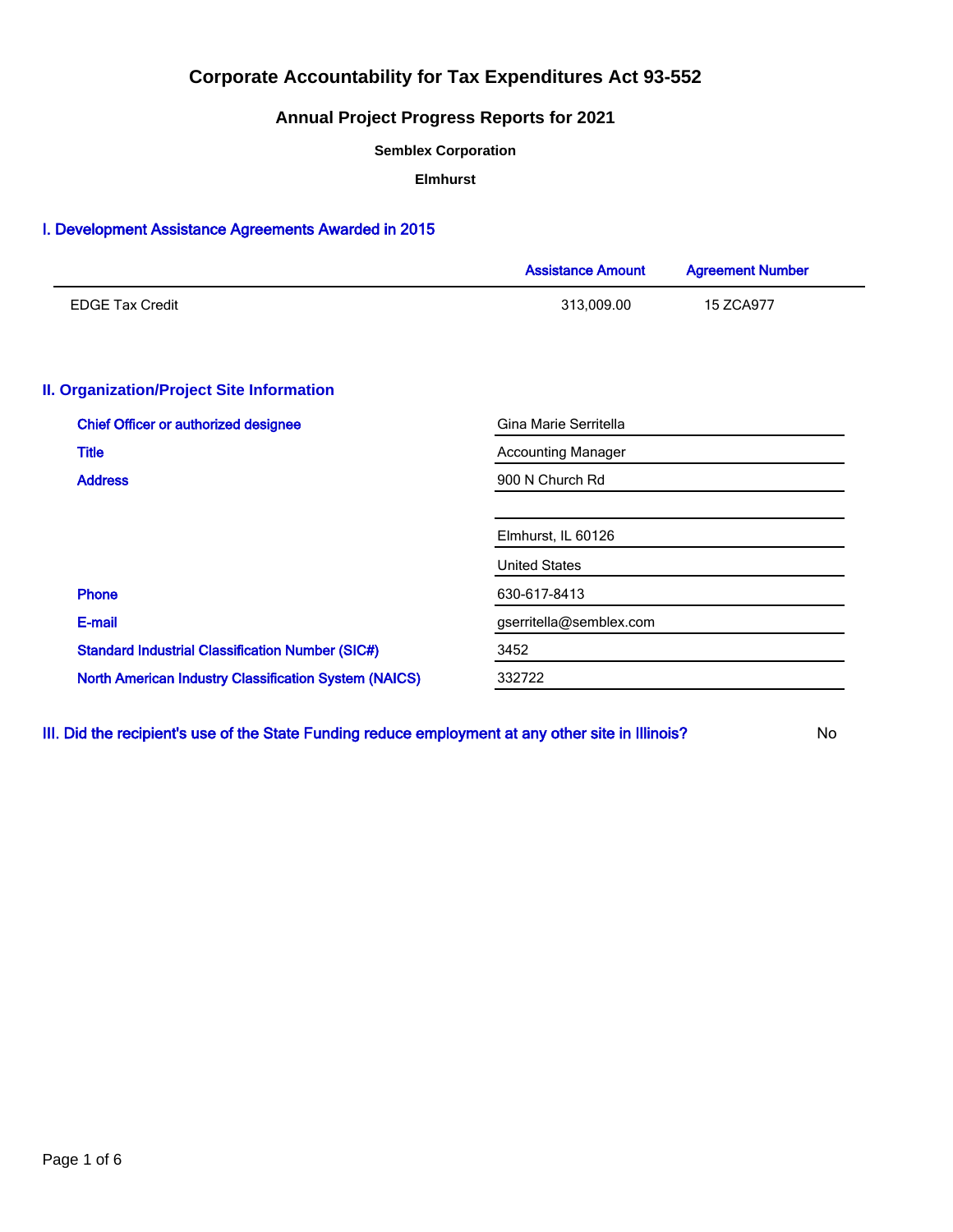# **Annual Project Progress Reports for 2021**

**Semblex Corporation**

**Elmhurst**

## I. Development Assistance Agreements Awarded in 2015

|                                                              | <b>Assistance Amount</b>  | <b>Agreement Number</b> |  |  |  |
|--------------------------------------------------------------|---------------------------|-------------------------|--|--|--|
| <b>EDGE Tax Credit</b>                                       | 313,009.00                | 15 ZCA977               |  |  |  |
| <b>II. Organization/Project Site Information</b>             |                           |                         |  |  |  |
| <b>Chief Officer or authorized designee</b>                  | Gina Marie Serritella     |                         |  |  |  |
| <b>Title</b>                                                 | <b>Accounting Manager</b> |                         |  |  |  |
| <b>Address</b>                                               | 900 N Church Rd           |                         |  |  |  |
|                                                              | Elmhurst, IL 60126        |                         |  |  |  |
|                                                              | <b>United States</b>      |                         |  |  |  |
| <b>Phone</b>                                                 | 630-617-8413              |                         |  |  |  |
| E-mail                                                       | gserritella@semblex.com   |                         |  |  |  |
| <b>Standard Industrial Classification Number (SIC#)</b>      | 3452                      |                         |  |  |  |
| <b>North American Industry Classification System (NAICS)</b> | 332722                    |                         |  |  |  |

III. Did the recipient's use of the State Funding reduce employment at any other site in Illinois? No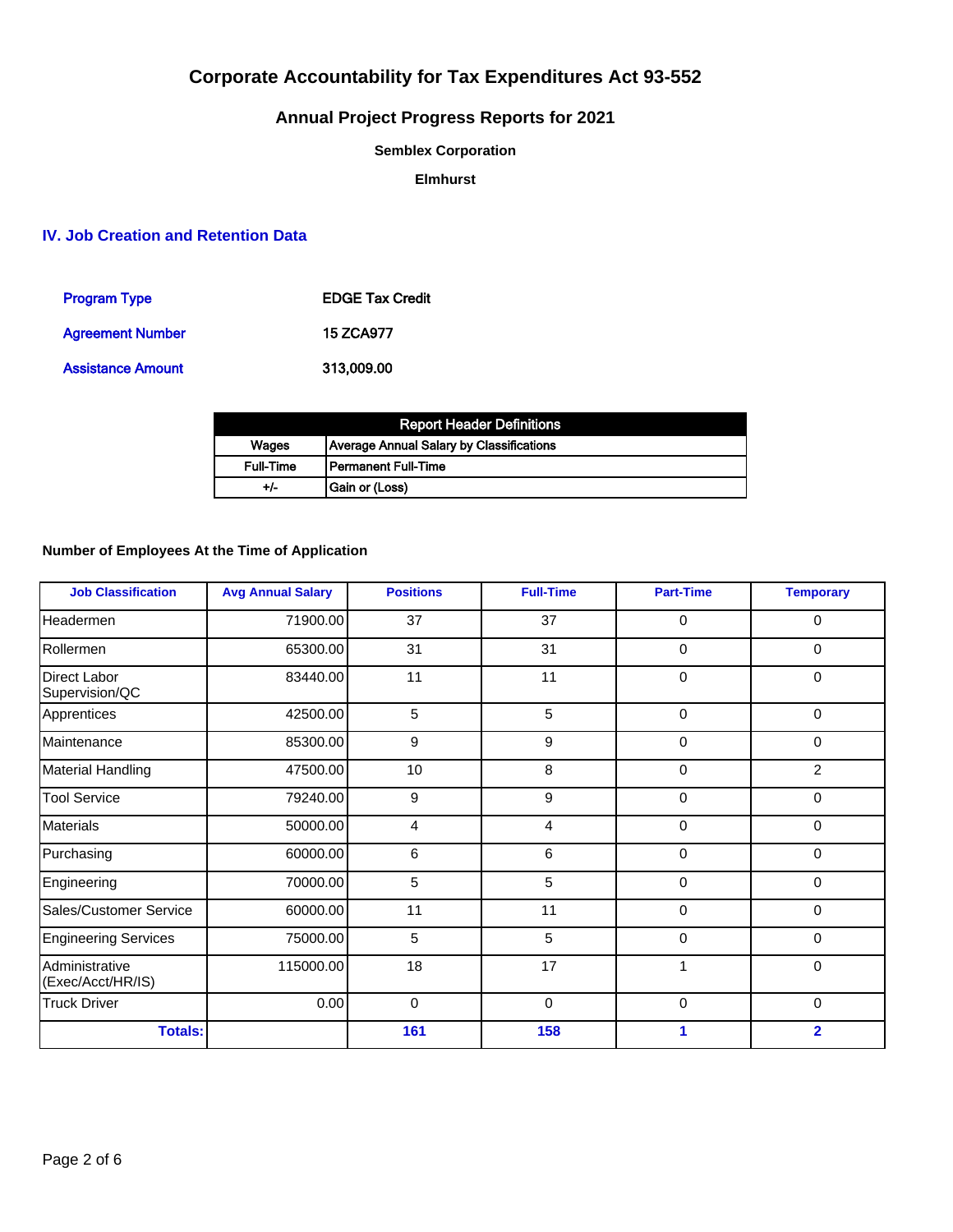# **Annual Project Progress Reports for 2021**

**Semblex Corporation**

**Elmhurst**

## **IV. Job Creation and Retention Data**

| <b>Program Type</b>      | <b>EDGE Tax Credit</b> |
|--------------------------|------------------------|
| <b>Agreement Number</b>  | 15 ZCA977              |
| <b>Assistance Amount</b> | 313,009,00             |

|                  | <b>Report Header Definitions</b>         |
|------------------|------------------------------------------|
| Wages            | Average Annual Salary by Classifications |
| <b>Full-Time</b> | l Permanent Full-Time                    |
| +/-              | Gain or (Loss)                           |

## **Number of Employees At the Time of Application**

| <b>Job Classification</b>           | <b>Avg Annual Salary</b> | <b>Positions</b> | <b>Full-Time</b> | <b>Part-Time</b> | <b>Temporary</b> |
|-------------------------------------|--------------------------|------------------|------------------|------------------|------------------|
| Headermen                           | 71900.00                 | 37               | 37               | $\mathbf 0$      | $\mathbf 0$      |
| Rollermen                           | 65300.00                 | 31               | 31               | 0                | 0                |
| Direct Labor<br>Supervision/QC      | 83440.00                 | 11               | 11               | $\Omega$         | $\mathbf 0$      |
| Apprentices                         | 42500.00                 | 5                | 5                | $\mathbf 0$      | $\mathbf 0$      |
| Maintenance                         | 85300.00                 | 9                | 9                | $\Omega$         | 0                |
| <b>Material Handling</b>            | 47500.00                 | 10               | 8                | $\Omega$         | $\overline{2}$   |
| <b>Tool Service</b>                 | 79240.00                 | 9                | $\boldsymbol{9}$ | $\Omega$         | 0                |
| <b>Materials</b>                    | 50000.00                 | 4                | $\overline{4}$   | 0                | 0                |
| Purchasing                          | 60000.00                 | 6                | 6                | $\mathbf 0$      | 0                |
| Engineering                         | 70000.00                 | 5                | 5                | $\Omega$         | 0                |
| Sales/Customer Service              | 60000.00                 | 11               | 11               | $\Omega$         | 0                |
| <b>Engineering Services</b>         | 75000.00                 | 5                | 5                | $\mathbf 0$      | $\mathbf 0$      |
| Administrative<br>(Exec/Acct/HR/IS) | 115000.00                | 18               | 17               | 1                | 0                |
| <b>Truck Driver</b>                 | 0.00                     | $\mathbf 0$      | $\mathbf 0$      | $\mathbf 0$      | $\mathbf 0$      |
| <b>Totals:</b>                      |                          | 161              | 158              |                  | $\overline{2}$   |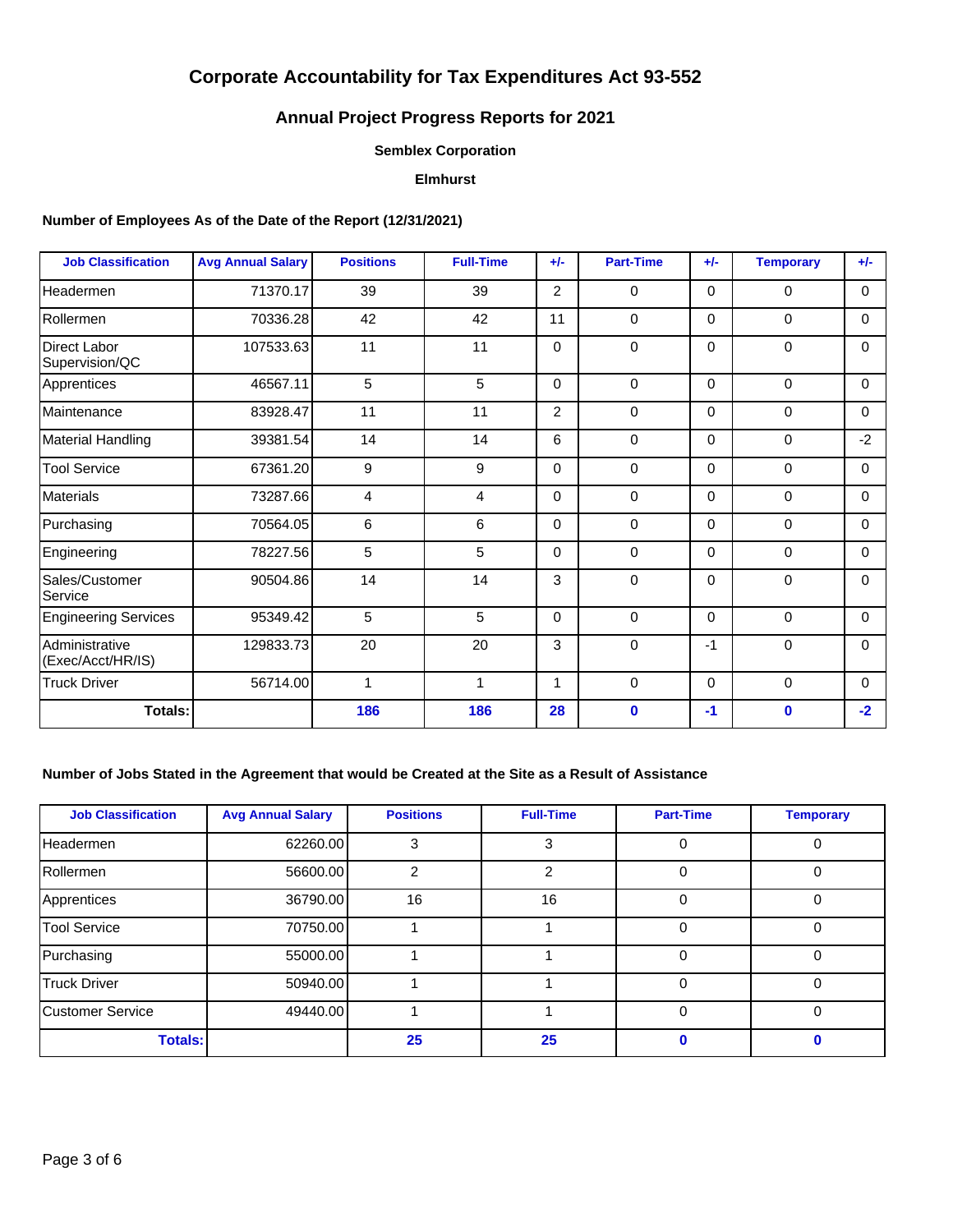# **Annual Project Progress Reports for 2021**

### **Semblex Corporation**

## **Elmhurst**

### **Number of Employees As of the Date of the Report (12/31/2021)**

| <b>Job Classification</b>             | <b>Avg Annual Salary</b> | <b>Positions</b> | <b>Full-Time</b> | $+/-$    | <b>Part-Time</b> | $+/-$ | <b>Temporary</b> | $+/-$    |
|---------------------------------------|--------------------------|------------------|------------------|----------|------------------|-------|------------------|----------|
| Headermen                             | 71370.17                 | 39               | 39               | 2        | 0                | 0     | $\Omega$         | $\Omega$ |
| Rollermen                             | 70336.28                 | 42               | 42               | 11       | 0                | 0     | 0                | $\Omega$ |
| <b>Direct Labor</b><br>Supervision/QC | 107533.63                | 11               | 11               | $\Omega$ | 0                | 0     | $\mathbf 0$      | $\Omega$ |
| Apprentices                           | 46567.11                 | 5                | 5                | $\Omega$ | $\Omega$         | 0     | $\Omega$         | $\Omega$ |
| Maintenance                           | 83928.47                 | 11               | 11               | 2        | $\mathbf 0$      | 0     | $\mathbf 0$      | $\Omega$ |
| <b>Material Handling</b>              | 39381.54                 | 14               | 14               | 6        | $\mathbf 0$      | 0     | $\mathbf 0$      | $-2$     |
| <b>Tool Service</b>                   | 67361.20                 | 9                | 9                | $\Omega$ | 0                | 0     | 0                | $\Omega$ |
| <b>Materials</b>                      | 73287.66                 | 4                | 4                | $\Omega$ | 0                | 0     | $\Omega$         | $\Omega$ |
| Purchasing                            | 70564.05                 | 6                | 6                | $\Omega$ | 0                | 0     | $\mathbf 0$      | $\Omega$ |
| Engineering                           | 78227.56                 | 5                | 5                | $\Omega$ | $\mathbf 0$      | 0     | $\mathbf 0$      | $\Omega$ |
| Sales/Customer<br>Service             | 90504.86                 | 14               | 14               | 3        | 0                | 0     | $\mathbf 0$      | $\Omega$ |
| <b>Engineering Services</b>           | 95349.42                 | 5                | 5                | $\Omega$ | 0                | 0     | $\mathbf 0$      | 0        |
| Administrative<br>(Exec/Acct/HR/IS)   | 129833.73                | 20               | 20               | 3        | $\mathbf 0$      | $-1$  | $\mathbf 0$      | $\Omega$ |
| <b>Truck Driver</b>                   | 56714.00                 | $\mathbf{1}$     | 1                | 1        | $\mathbf 0$      | 0     | $\mathbf 0$      | $\Omega$ |
| Totals:                               |                          | 186              | 186              | 28       | $\bf{0}$         | $-1$  | $\mathbf 0$      | $-2$     |

## **Number of Jobs Stated in the Agreement that would be Created at the Site as a Result of Assistance**

| <b>Job Classification</b> | <b>Avg Annual Salary</b> | <b>Positions</b> | <b>Full-Time</b> | <b>Part-Time</b> | <b>Temporary</b> |
|---------------------------|--------------------------|------------------|------------------|------------------|------------------|
| <b>Headermen</b>          | 62260.00                 | 3                | 3                | $\Omega$         |                  |
| Rollermen                 | 56600.00                 | $\mathcal{P}$    | $\mathcal{P}$    | $\Omega$         | 0                |
| Apprentices               | 36790.00                 | 16               | 16               | $\Omega$         | $\Omega$         |
| <b>Tool Service</b>       | 70750.00                 |                  |                  | $\Omega$         | 0                |
| Purchasing                | 55000.00                 |                  |                  | $\Omega$         | $\Omega$         |
| <b>Truck Driver</b>       | 50940.00                 |                  |                  | $\Omega$         | $\Omega$         |
| Customer Service          | 49440.00                 |                  |                  | $\Omega$         | $\Omega$         |
| <b>Totals:</b>            |                          | 25               | 25               |                  |                  |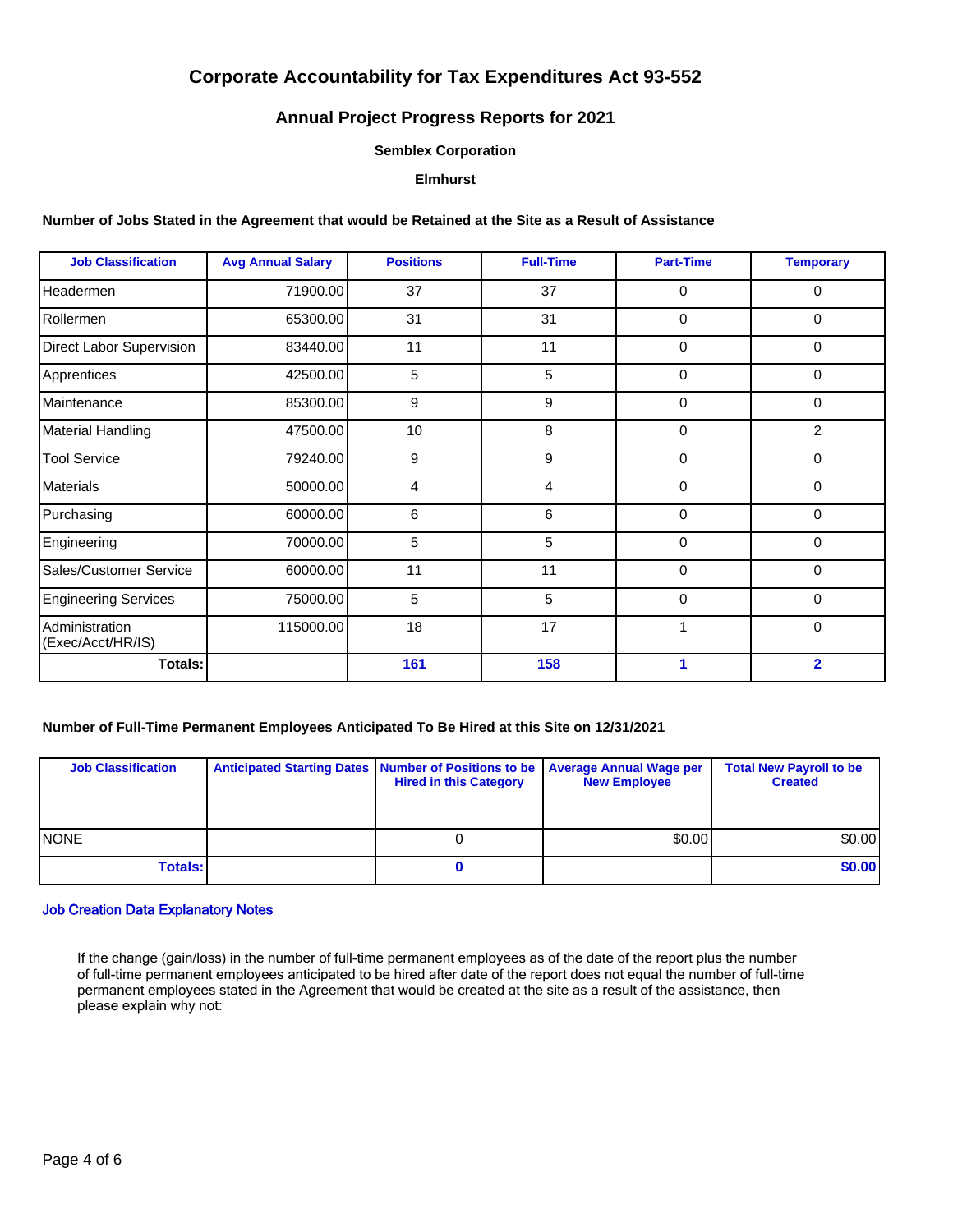## **Annual Project Progress Reports for 2021**

#### **Semblex Corporation**

### **Elmhurst**

#### **Number of Jobs Stated in the Agreement that would be Retained at the Site as a Result of Assistance**

| <b>Job Classification</b>           | <b>Avg Annual Salary</b> | <b>Positions</b> | <b>Full-Time</b> | <b>Part-Time</b> | <b>Temporary</b> |
|-------------------------------------|--------------------------|------------------|------------------|------------------|------------------|
| Headermen                           | 71900.00                 | 37               | 37               | 0                | 0                |
| Rollermen                           | 65300.00                 | 31               | 31               | $\Omega$         | 0                |
| Direct Labor Supervision            | 83440.00                 | 11               | 11               | $\Omega$         | 0                |
| Apprentices                         | 42500.00                 | 5                | 5                | $\mathbf{0}$     | 0                |
| Maintenance                         | 85300.00                 | 9                | 9                | $\Omega$         | 0                |
| <b>Material Handling</b>            | 47500.00                 | 10               | 8                | 0                | $\overline{2}$   |
| Tool Service                        | 79240.00                 | 9                | 9                | 0                | 0                |
| Materials                           | 50000.00                 | 4                | 4                | 0                | 0                |
| Purchasing                          | 60000.00                 | 6                | 6                | 0                | 0                |
| Engineering                         | 70000.00                 | 5                | 5                | $\Omega$         | $\Omega$         |
| Sales/Customer Service              | 60000.00                 | 11               | 11               | 0                | 0                |
| <b>Engineering Services</b>         | 75000.00                 | 5                | 5                | $\Omega$         | $\Omega$         |
| Administration<br>(Exec/Acct/HR/IS) | 115000.00                | 18               | 17               |                  | $\mathbf 0$      |
| Totals:                             |                          | 161              | 158              | 1                | $\overline{2}$   |

### **Number of Full-Time Permanent Employees Anticipated To Be Hired at this Site on 12/31/2021**

| <b>Job Classification</b> | Anticipated Starting Dates   Number of Positions to be   Average Annual Wage per<br><b>Hired in this Category</b> | <b>New Employee</b> | <b>Total New Payroll to be</b><br><b>Created</b> |
|---------------------------|-------------------------------------------------------------------------------------------------------------------|---------------------|--------------------------------------------------|
| <b>INONE</b>              |                                                                                                                   | \$0.00              | \$0.00]                                          |
| <b>Totals:</b>            |                                                                                                                   |                     | \$0.00                                           |

#### Job Creation Data Explanatory Notes

If the change (gain/loss) in the number of full-time permanent employees as of the date of the report plus the number of full-time permanent employees anticipated to be hired after date of the report does not equal the number of full-time permanent employees stated in the Agreement that would be created at the site as a result of the assistance, then please explain why not: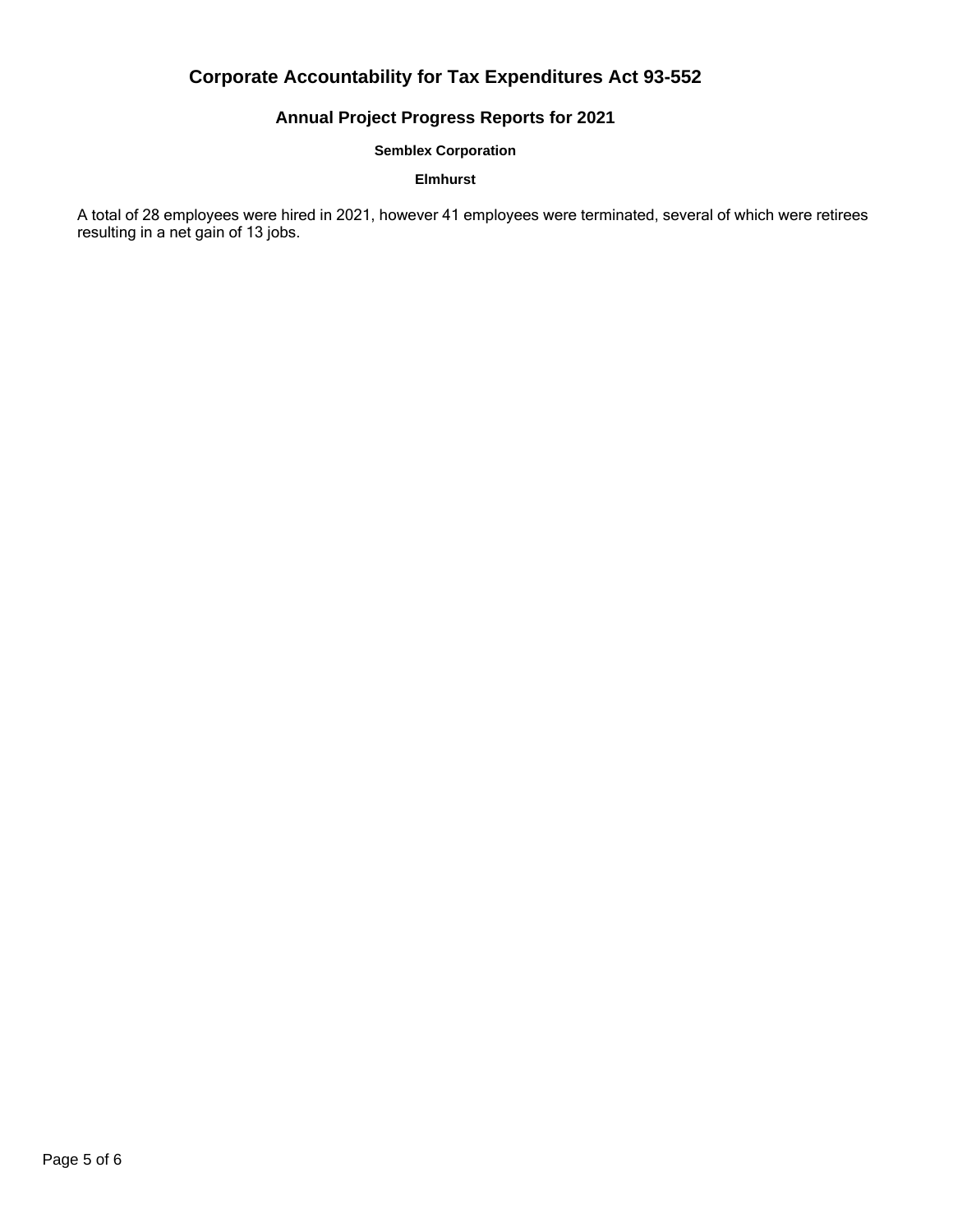# **Annual Project Progress Reports for 2021**

### **Semblex Corporation**

## **Elmhurst**

A total of 28 employees were hired in 2021, however 41 employees were terminated, several of which were retirees resulting in a net gain of 13 jobs.